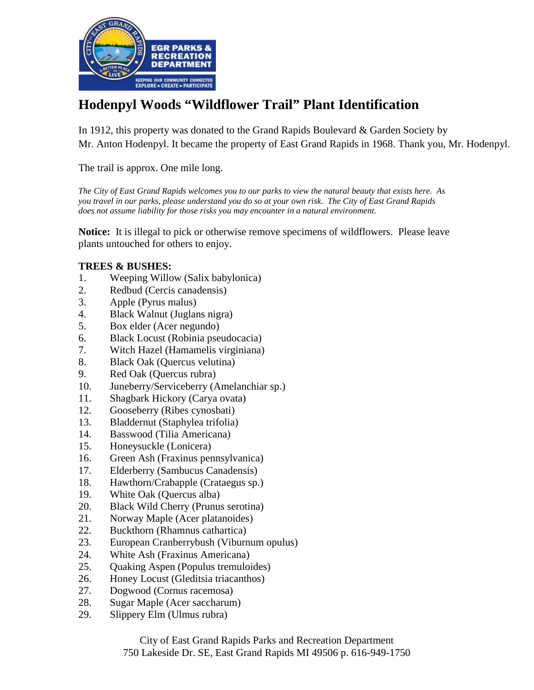

## **Hodenpyl Woods "Wildflower Trail" Plant Identification**

In 1912, this property was donated to the Grand Rapids Boulevard & Garden Society by Mr. Anton Hodenpyl. It became the property of East Grand Rapids in 1968. Thank you, Mr. Hodenpyl.

The trail is approx. One mile long.

*The City of East Grand Rapids welcomes you to our parks to view the natural beauty that exists here. As you travel in our parks, please understand you do so at your own risk. The City of East Grand Rapids does not assume liability for those risks you may encounter in a natural environment.*

**Notice:** It is illegal to pick or otherwise remove specimens of wildflowers. Please leave plants untouched for others to enjoy.

## **TREES & BUSHES:**

- 1. Weeping Willow (Salix babylonica)
- 2. Redbud (Cercis canadensis)
- 3. Apple (Pyrus malus)
- 4. Black Walnut (Juglans nigra)
- 5. Box elder (Acer negundo)
- 6. Black Locust (Robinia pseudocacia)
- 7. Witch Hazel (Hamamelis virginiana)
- 8. Black Oak (Quercus velutina)
- 9. Red Oak (Quercus rubra)
- 10. Juneberry/Serviceberry (Amelanchiar sp.)
- 11. Shagbark Hickory (Carya ovata)
- 12. Gooseberry (Ribes cynosbati)
- 13. Bladdernut (Staphylea trifolia)
- 14. Basswood (Tilia Americana)
- 15. Honeysuckle (Lonicera)
- 16. Green Ash (Fraxinus pennsylvanica)
- 17. Elderberry (Sambucus Canadensis)
- 18. Hawthorn/Crabapple (Crataegus sp.)
- 19. White Oak (Quercus alba)
- 20. Black Wild Cherry (Prunus serotina)
- 21. Norway Maple (Acer platanoides)
- 22. Buckthorn (Rhamnus cathartica)
- 23. European Cranberrybush (Viburnum opulus)
- 24. White Ash (Fraxinus Americana)
- 25. Quaking Aspen (Populus tremuloides)
- 26. Honey Locust (Gleditsia triacanthos)
- 27. Dogwood (Cornus racemosa)
- 28. Sugar Maple (Acer saccharum)
- 29. Slippery Elm (Ulmus rubra)

City of East Grand Rapids Parks and Recreation Department 750 Lakeside Dr. SE, East Grand Rapids MI 49506 p. 616-949-1750